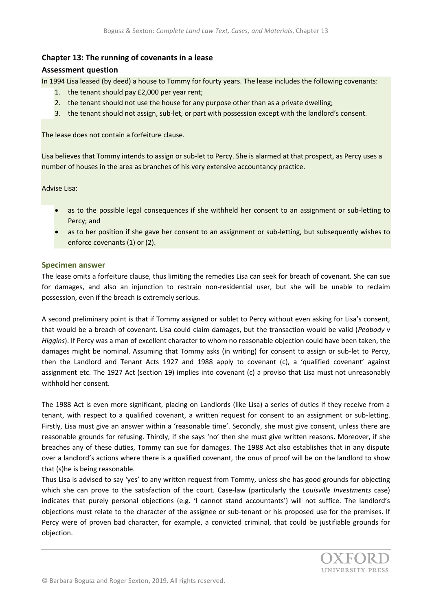## **Chapter 13: The running of covenants in a lease**

## **Assessment question**

In 1994 Lisa leased (by deed) a house to Tommy for fourty years. The lease includes the following covenants:

- 1. the tenant should pay £2,000 per year rent;
- 2. the tenant should not use the house for any purpose other than as a private dwelling;
- 3. the tenant should not assign, sub-let, or part with possession except with the landlord's consent.

The lease does not contain a forfeiture clause.

Lisa believes that Tommy intends to assign or sub-let to Percy. She is alarmed at that prospect, as Percy uses a number of houses in the area as branches of his very extensive accountancy practice.

Advise Lisa:

- as to the possible legal consequences if she withheld her consent to an assignment or sub-letting to Percy; and
- as to her position if she gave her consent to an assignment or sub-letting, but subsequently wishes to enforce covenants (1) or (2).

## **Specimen answer**

The lease omits a forfeiture clause, thus limiting the remedies Lisa can seek for breach of covenant. She can sue for damages, and also an injunction to restrain non-residential user, but she will be unable to reclaim possession, even if the breach is extremely serious.

A second preliminary point is that if Tommy assigned or sublet to Percy without even asking for Lisa's consent, that would be a breach of covenant. Lisa could claim damages, but the transaction would be valid (*Peabody* v *Higgins*). If Percy was a man of excellent character to whom no reasonable objection could have been taken, the damages might be nominal. Assuming that Tommy asks (in writing) for consent to assign or sub-let to Percy, then the Landlord and Tenant Acts 1927 and 1988 apply to covenant (c), a 'qualified covenant' against assignment etc. The 1927 Act (section 19) implies into covenant (c) a proviso that Lisa must not unreasonably withhold her consent.

The 1988 Act is even more significant, placing on Landlords (like Lisa) a series of duties if they receive from a tenant, with respect to a qualified covenant, a written request for consent to an assignment or sub-letting. Firstly, Lisa must give an answer within a 'reasonable time'. Secondly, she must give consent, unless there are reasonable grounds for refusing. Thirdly, if she says 'no' then she must give written reasons. Moreover, if she breaches any of these duties, Tommy can sue for damages. The 1988 Act also establishes that in any dispute over a landlord's actions where there is a qualified covenant, the onus of proof will be on the landlord to show that (s)he is being reasonable.

Thus Lisa is advised to say 'yes' to any written request from Tommy, unless she has good grounds for objecting which she can prove to the satisfaction of the court. Case-law (particularly the *Louisville Investments* case) indicates that purely personal objections (e.g. 'I cannot stand accountants') will not suffice. The landlord's objections must relate to the character of the assignee or sub-tenant or his proposed use for the premises. If Percy were of proven bad character, for example, a convicted criminal, that could be justifiable grounds for objection.